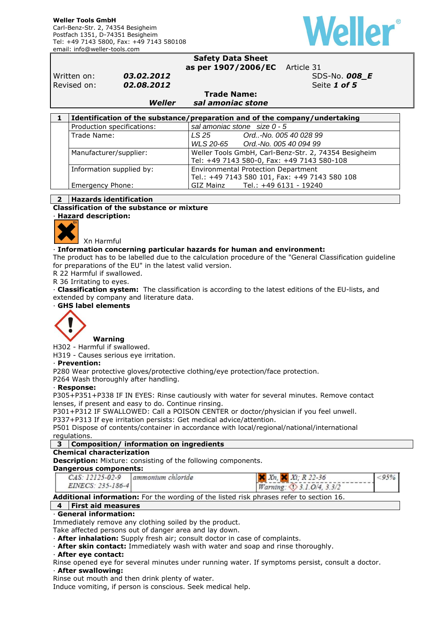

#### **Safety Data Sheet as per 1907/2006/EC** Article 31

Written on: **03.02.2012 SDS-No. 008\_E** Revised on: **02.08.2012 Seite 1 of 5 Seite 1 of 5** 

**Trade Name:**  *Weller sal amoniac stone* 

| Identification of the substance/preparation and of the company/undertaking |                                                                                                                                           |  |  |  |
|----------------------------------------------------------------------------|-------------------------------------------------------------------------------------------------------------------------------------------|--|--|--|
| Production specifications:                                                 | sal amoniac stone size $0 - 5$                                                                                                            |  |  |  |
| Trade Name:                                                                | LS 25<br>Ord-No. 005 40 028 99                                                                                                            |  |  |  |
|                                                                            | WLS 20-65 Ord.-No. 005 40 094 99                                                                                                          |  |  |  |
| Manufacturer/supplier:                                                     | Weller Tools GmbH, Carl-Benz-Str. 2, 74354 Besigheim<br>Tel: +49 7143 580-0, Fax: +49 7143 580-108<br>Environmental Protection Department |  |  |  |
|                                                                            |                                                                                                                                           |  |  |  |
| Information supplied by:                                                   |                                                                                                                                           |  |  |  |
|                                                                            | Tel.: +49 7143 580 101, Fax: +49 7143 580 108                                                                                             |  |  |  |
| Emergency Phone:                                                           | GIZ Mainz Tel.: +49 6131 - 19240                                                                                                          |  |  |  |

### **2 Hazards identification**

Xn Harmful

**Classification of the substance or mixture** 

· **Hazard description:** 

# · **Information concerning particular hazards for human and environment:**

The product has to be labelled due to the calculation procedure of the "General Classification guideline for preparations of the EU" in the latest valid version.

R 22 Harmful if swallowed.

R 36 Irritating to eyes.

· **Classification system:** The classification is according to the latest editions of the EU-lists, and extended by company and literature data.

· **GHS label elements** 



 **Warning** 

H302 - Harmful if swallowed. H319 - Causes serious eye irritation.

# · **Prevention:**

P280 Wear protective gloves/protective clothing/eye protection/face protection.

P264 Wash thoroughly after handling.

#### · **Response:**

P305+P351+P338 IF IN EYES: Rinse cautiously with water for several minutes. Remove contact lenses, if present and easy to do. Continue rinsing.

P301+P312 IF SWALLOWED: Call a POISON CENTER or doctor/physician if you feel unwell.

P337+P313 If eye irritation persists: Get medical advice/attention.

P501 Dispose of contents/container in accordance with local/regional/national/international regulations.

#### **3 Composition/ information on ingredients**

#### **Chemical characterization**

**Description:** Mixture: consisting of the following components.

#### **Dangerous components:**

| $CAS: 12125-02-9$ | ammontum chloride | $X_1$ , $X_2$ , $X_3$ , $R$ 22-36 |  |  |  |
|-------------------|-------------------|-----------------------------------|--|--|--|
| EINECS: 235-186-4 |                   | Warning: <1>3.1.0/4, 3.3/2        |  |  |  |

**Additional information:** For the wording of the listed risk phrases refer to section 16.

# **4 First aid measures**

#### · **General information:**

Immediately remove any clothing soiled by the product.

Take affected persons out of danger area and lay down.

· **After inhalation:** Supply fresh air; consult doctor in case of complaints.

· **After skin contact:** Immediately wash with water and soap and rinse thoroughly.

#### · **After eye contact:**

Rinse opened eye for several minutes under running water. If symptoms persist, consult a doctor. · **After swallowing:** 

Rinse out mouth and then drink plenty of water.

Induce vomiting, if person is conscious. Seek medical help.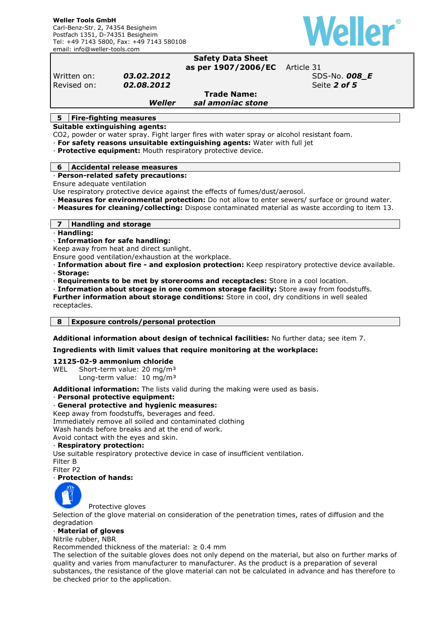

#### **Safety Data Sheet as per 1907/2006/EC** Article 31

Written on: **03.02.2012 SDS-No. 008\_E Revised on: 02.08.2012 Seite 2 of 5** 

# **Trade Name:**

*Weller sal amoniac stone* 

# **5 Fire-fighting measures**

**Suitable extinguishing agents:** 

CO2, powder or water spray. Fight larger fires with water spray or alcohol resistant foam.

· **For safety reasons unsuitable extinguishing agents:** Water with full jet

· **Protective equipment:** Mouth respiratory protective device.

#### **6 Accidental release measures**

# · **Person-related safety precautions:**

Ensure adequate ventilation

- Use respiratory protective device against the effects of fumes/dust/aerosol.
- · **Measures for environmental protection:** Do not allow to enter sewers/ surface or ground water.
- · **Measures for cleaning/collecting:** Dispose contaminated material as waste according to item 13.

#### **7 Handling and storage**

· **Handling:** 

#### · **Information for safe handling:**

Keep away from heat and direct sunlight.

Ensure good ventilation/exhaustion at the workplace.

- · **Information about fire and explosion protection:** Keep respiratory protective device available. · **Storage:**
- · **Requirements to be met by storerooms and receptacles:** Store in a cool location.
- · **Information about storage in one common storage facility:** Store away from foodstuffs.

**Further information about storage conditions:** Store in cool, dry conditions in well sealed receptacles.

**8 Exposure controls/personal protection** 

**Additional information about design of technical facilities:** No further data; see item 7.

#### **Ingredients with limit values that require monitoring at the workplace:**

#### **12125-02-9 ammonium chloride**

WEL Short-term value: 20 mg/m<sup>3</sup> Long-term value: 10 mg/m<sup>3</sup>

**Additional information:** The lists valid during the making were used as basis.

#### · **Personal protective equipment:**

#### · **General protective and hygienic measures:**

Keep away from foodstuffs, beverages and feed.

Immediately remove all soiled and contaminated clothing

Wash hands before breaks and at the end of work.

Avoid contact with the eyes and skin.

#### · **Respiratory protection:**

Use suitable respiratory protective device in case of insufficient ventilation. Filter B Filter P2

# · **Protection of hands:**



Protective gloves

Selection of the glove material on consideration of the penetration times, rates of diffusion and the degradation

### · **Material of gloves**

Nitrile rubber, NBR

Recommended thickness of the material:  $\geq 0.4$  mm

The selection of the suitable gloves does not only depend on the material, but also on further marks of quality and varies from manufacturer to manufacturer. As the product is a preparation of several substances, the resistance of the glove material can not be calculated in advance and has therefore to be checked prior to the application.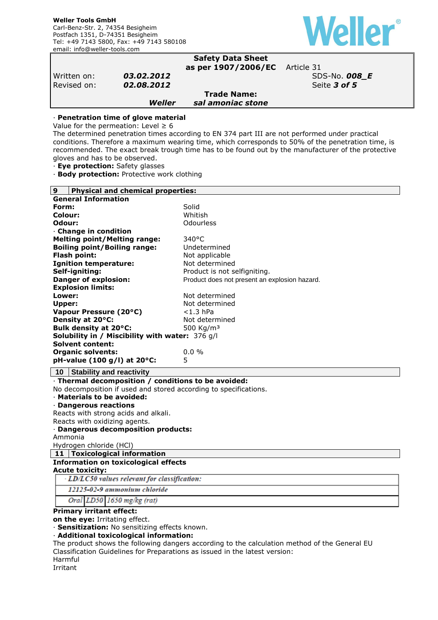

|                                                                                                                                                                                                       |            | <b>Safety Data Sheet</b><br>as per 1907/2006/EC                                                 | Article 31                                                                                                                                                                                               |
|-------------------------------------------------------------------------------------------------------------------------------------------------------------------------------------------------------|------------|-------------------------------------------------------------------------------------------------|----------------------------------------------------------------------------------------------------------------------------------------------------------------------------------------------------------|
| Written on:                                                                                                                                                                                           | 03.02.2012 |                                                                                                 | SDS-No. 008 E                                                                                                                                                                                            |
| Revised on:                                                                                                                                                                                           | 02.08.2012 |                                                                                                 | Seite 3 of 5                                                                                                                                                                                             |
|                                                                                                                                                                                                       |            | <b>Trade Name:</b>                                                                              |                                                                                                                                                                                                          |
|                                                                                                                                                                                                       | Weller     | sal amoniac stone                                                                               |                                                                                                                                                                                                          |
| · Penetration time of glove material<br>Value for the permeation: Level $\geq 6$<br>gloves and has to be observed.<br>· Eye protection: Safety glasses<br>· Body protection: Protective work clothing |            | The determined penetration times according to EN 374 part III are not performed under practical | conditions. Therefore a maximum wearing time, which corresponds to 50% of the penetration time, is<br>recommended. The exact break trough time has to be found out by the manufacturer of the protective |

| 9                                                                       | <b>Physical and chemical properties:</b>      |  |  |  |  |
|-------------------------------------------------------------------------|-----------------------------------------------|--|--|--|--|
| <b>General Information</b>                                              |                                               |  |  |  |  |
| Form:                                                                   | Solid                                         |  |  |  |  |
| Colour:                                                                 | Whitish                                       |  |  |  |  |
| Odour:                                                                  | Odourless                                     |  |  |  |  |
| Change in condition                                                     |                                               |  |  |  |  |
| <b>Melting point/Melting range:</b>                                     | $340^{\circ}$ C                               |  |  |  |  |
| <b>Boiling point/Boiling range:</b>                                     | Undetermined                                  |  |  |  |  |
| Flash point:                                                            | Not applicable                                |  |  |  |  |
| <b>Ignition temperature:</b>                                            | Not determined                                |  |  |  |  |
| Self-igniting:                                                          | Product is not selfigniting.                  |  |  |  |  |
| <b>Danger of explosion:</b>                                             | Product does not present an explosion hazard. |  |  |  |  |
| <b>Explosion limits:</b>                                                |                                               |  |  |  |  |
| Lower:                                                                  | Not determined                                |  |  |  |  |
| Upper:                                                                  | Not determined                                |  |  |  |  |
| Vapour Pressure (20°C)                                                  | $<$ 1.3 hPa                                   |  |  |  |  |
| Density at 20°C:                                                        | Not determined                                |  |  |  |  |
| Bulk density at 20°C:                                                   | 500 Kg/m <sup>3</sup>                         |  |  |  |  |
| Solubility in / Miscibility with water: 376 g/l                         |                                               |  |  |  |  |
| <b>Solvent content:</b><br><b>Organic solvents:</b>                     | 0.0%                                          |  |  |  |  |
| pH-value (100 g/l) at 20°C:                                             | 5                                             |  |  |  |  |
|                                                                         |                                               |  |  |  |  |
| <b>Stability and reactivity</b><br>10                                   |                                               |  |  |  |  |
| · Thermal decomposition / conditions to be avoided:                     |                                               |  |  |  |  |
| No decomposition if used and stored according to specifications.        |                                               |  |  |  |  |
| · Materials to be avoided:                                              |                                               |  |  |  |  |
| · Dangerous reactions                                                   |                                               |  |  |  |  |
| Reacts with strong acids and alkali.                                    |                                               |  |  |  |  |
| Reacts with oxidizing agents.                                           |                                               |  |  |  |  |
| · Dangerous decomposition products:                                     |                                               |  |  |  |  |
| Ammonia                                                                 |                                               |  |  |  |  |
| Hydrogen chloride (HCl)                                                 |                                               |  |  |  |  |
| 11   Toxicological information                                          |                                               |  |  |  |  |
| <b>Information on toxicological effects</b>                             |                                               |  |  |  |  |
| <b>Acute toxicity:</b><br>· LD/LC50 values relevant for classification: |                                               |  |  |  |  |
| 12125-02-9 ammonium chloride                                            |                                               |  |  |  |  |
| Oral LD50 1650 mg/kg (rat)                                              |                                               |  |  |  |  |
|                                                                         |                                               |  |  |  |  |
| <b>Primary irritant effect:</b><br>on the eye: Irritating effect.       |                                               |  |  |  |  |

· **Sensitization:** No sensitizing effects known.

# · **Additional toxicological information:**

The product shows the following dangers according to the calculation method of the General EU Classification Guidelines for Preparations as issued in the latest version:

Harmful

Irritant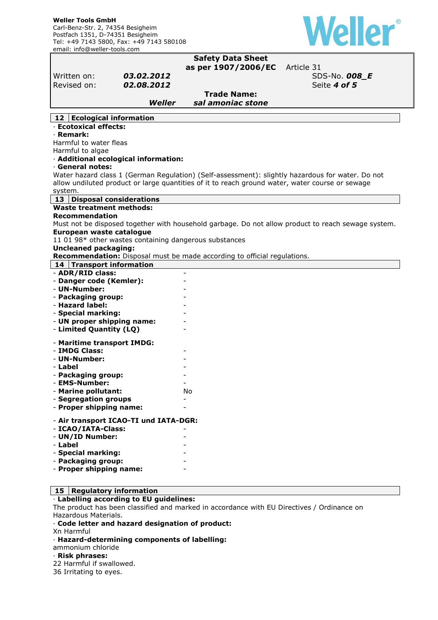

#### **Safety Data Sheet as per 1907/2006/EC** Article 31 Written on: **03.02.2012 SDS-No. 008\_E** Revised on: **02.08.2012 Seite 4 of 5 Seite 4 of 5 Trade Name:**  *Weller sal amoniac stone*  **12 Ecological information**  · **Ecotoxical effects:**  · **Remark:**  Harmful to water fleas Harmful to algae · **Additional ecological information:**  · **General notes:**  Water hazard class 1 (German Regulation) (Self-assessment): slightly hazardous for water. Do not allow undiluted product or large quantities of it to reach ground water, water course or sewage system. **13 Disposal considerations Waste treatment methods: Recommendation**  Must not be disposed together with household garbage. Do not allow product to reach sewage system. **European waste catalogue**  11 01 98\* other wastes containing dangerous substances **Uncleaned packaging: Recommendation:** Disposal must be made according to official regulations. **14 Transport information**  - **ADR/RID class:** - - **Danger code (Kemler):** - - **UN-Number:** - - **Packaging group:** - - **Hazard label:** - - **Special marking:** - - **UN proper shipping name:** - - **Limited Quantity (LQ)** - - **Maritime transport IMDG:** - **IMDG Class:** - - **UN-Number:** - - **Label** - - **Packaging group:** - - **EMS-Number:** - - **Marine pollutant:** No - **Segregation groups** - - **Proper shipping name:** - - **Air transport ICAO-TI und IATA-DGR:**  - **ICAO/IATA-Class:** - - **UN/ID Number:** - - **Label** - - **Special marking:** - - **Packaging group:** - - **Proper shipping name:** -

#### **15 Regulatory information**

#### · **Labelling according to EU guidelines:**

The product has been classified and marked in accordance with EU Directives / Ordinance on Hazardous Materials.

· **Code letter and hazard designation of product:** 

Xn Harmful

· **Hazard-determining components of labelling:** 

ammonium chloride

#### · **Risk phrases:**

22 Harmful if swallowed.

36 Irritating to eyes.